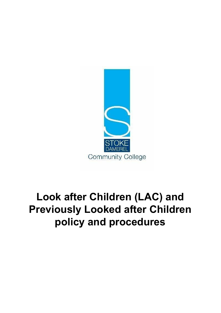

# **Look after Children (LAC) and Previously Looked after Children policy and procedures**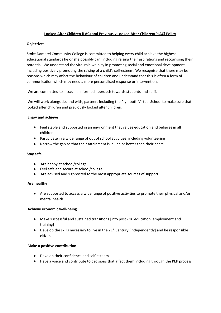# **Looked After Children (LAC) and Previously Looked After Children(PLAC) Policy**

## **Objectives**

Stoke Damerel Community College is committed to helping every child achieve the highest educational standards he or she possibly can, including raising their aspirations and recognising their potential. We understand the vital role we play in promoting social and emotional development including positively promoting the raising of a child's self-esteem. We recognise that there may be reasons which may affect the behaviour of children and understand that this is often a form of communication which may need a more personalised response or intervention.

We are committed to a trauma informed approach towards students and staff.

We will work alongside, and with, partners including the Plymouth Virtual School to make sure that looked after children and previously looked after children:

## **Enjoy and achieve**

- Feel stable and supported in an environment that values education and believes in all children
- Participate in a wide range of out of school activities, including volunteering
- $\bullet$  Narrow the gap so that their attainment is in line or better than their peers

#### **Stay safe**

- Are happy at school/college
- Feel safe and secure at school/college.
- Are advised and signposted to the most appropriate sources of support

#### **Are healthy**

• Are supported to access a wide range of positive activities to promote their physical and/or mental health

#### **Achieve economic well-being**

- Make successful and sustained transitions [into post 16 education, employment and training]
- $\bullet$  Develop the skills necessary to live in the 21<sup>st</sup> Century [independently] and be responsible citizens

#### **Make a positive contribution**

- Develop their confidence and self-esteem
- Have a voice and contribute to decisions that affect them including through the PEP process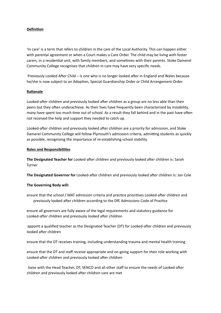## **Definition**

'In care' is a term that refers to children in the care of the Local Authority. This can happen either with parental agreement or when a Court makes a Care Order. The child may be living with foster carers, in a residential unit, with family members, and sometimes with their parents. Stoke Damerel Community College recognises that children in care may have very specific needs.

Previously Looked After Child – is one who is no longer looked after in England and Wales because he/she is now subject to an Adoption, Special Guardianship Order or Child Arrangement Order.

#### **Rationale**

Looked-after children and previously looked after children as a group are no less able than their peers but they often underachieve. As their lives have frequently been characterised by instability, many have spent too much time out of school. As a result they fall behind and in the past have often not received the help and support they needed to catch up.

Looked-after children and previously looked after children are a priority for admission, and Stoke Damerel Community College will follow Plymouth's admission criteria, admitting students as quickly as possible, recognising the importance of re-establishing school stability.

#### **Roles and Responsibilies**

**The Designated Teacher for** Looked-after children and previously looked after children is: Sarah Turner

**The Designated Governor for** Looked-after children and previously looked after children is: Jan Cole

#### **The Governing Body will:**

ensure that the school / MAT admission criteria and practice prioritises Looked-after children and previously looked after children according to the DfE Admissions Code of Practice

ensure all governors are fully aware of the legal requirements and statutory guidance for Looked-after children and previously looked after children

appoint a qualified teacher as the Designated Teacher (DT) for Looked-after children and previously looked after children

ensure that the DT receives training, including understanding trauma and mental health training

ensure that the DT and staff receive appropriate and on-going support for their role working with Looked-after children and previously looked after children

liaise with the Head Teacher, DT, SENCO and all other staff to ensure the needs of Looked-after children and previously looked after children care are met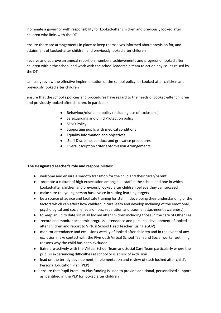nominate a governor with responsibility for Looked-after children and previously looked after children who links with the DT

ensure there are arrangements in place to keep themselves informed about provision for, and attainment of Looked-after children and previously looked after children

receive and approve an annual report on numbers, achievements and progress of looked after children within the school and work with the school leadership team to act on any issues raised by the DT

annually review the effective implementation of the school policy for Looked-after children and previously looked after children

ensure that the school's policies and procedures have regard to the needs of Looked-after children and previously looked after children, in particular

- Behaviour/discipline policy (including use of exclusions)
- Safeguarding and Child Protection policy
- **SEND Policy**
- Supporting pupils with medical conditions
- Equality information and objectives
- Staff Discipline, conduct and grievance procedures
- Oversubscription criteria/Admission Arrangements

# **The Designated Teacher's role and responsibilies:**

- welcome and ensure a smooth transition for the child and their carer/parent
- promote a culture of high expectation amongst all staff in the school and one in which Looked-after children and previously looked after children believe they can succeed
- make sure the young person has a voice in setting learning targets
- be a source of advice and facilitate training for staff in developing their understanding of the factors which can affect how children in care learn and develop including of the emotional, psychological and social effects of loss, separation and trauma (attachment awareness)
- to keep an up to date list of all looked after children including those in the care of Other LAs
- record and monitor academic progress, attendance and personal development of looked after children and report to Virtual School Head Teacher (using eGOV)
- monitor attendance and exclusions weekly of looked after children and in the event of any exclusion make contact with the Plymouth Virtual School Team and Social worker outlining reasons why the child has been excluded
- liaise pro-actively with the Virtual School Team and Social Care Team particularly where the pupil is experiencing difficulties at school or is at risk of exclusion
- lead on the termly development, implementation and review of each looked after child's Personal Education Plan (PEP)
- **•** ensure that Pupil Premium Plus funding is used to provide additional, personalised support as identified in the PEP for looked after children